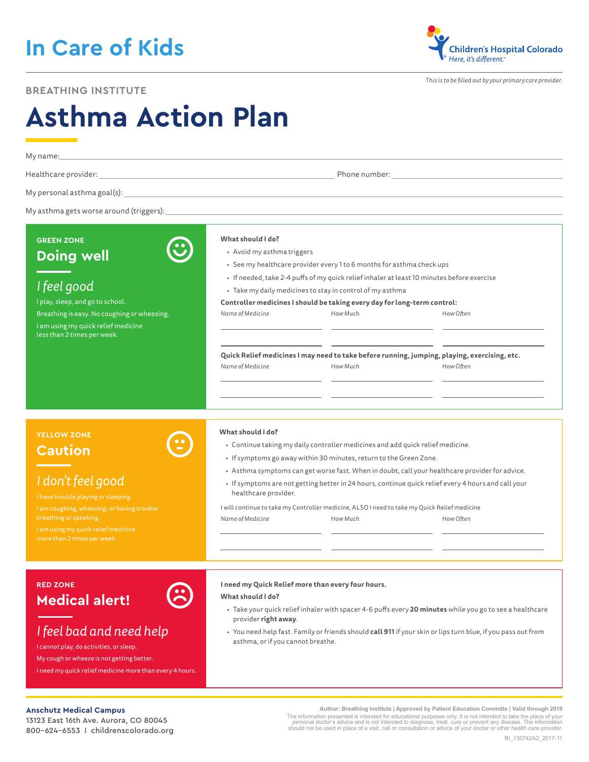# **In Care of Kids**

## **BREATHING INSTITUTE**

**Children's Hospital Colorado** Here, it's different."

*This is to be filled out by your primary care provider.*

# **Asthma Action Plan**

| My name:<br>and the control of the control of the control of the control of the control of the control of the control of the |                                                                                                                             |                                                                                            |                                                                                                          |  |
|------------------------------------------------------------------------------------------------------------------------------|-----------------------------------------------------------------------------------------------------------------------------|--------------------------------------------------------------------------------------------|----------------------------------------------------------------------------------------------------------|--|
|                                                                                                                              |                                                                                                                             |                                                                                            |                                                                                                          |  |
|                                                                                                                              |                                                                                                                             |                                                                                            |                                                                                                          |  |
|                                                                                                                              |                                                                                                                             |                                                                                            |                                                                                                          |  |
|                                                                                                                              |                                                                                                                             |                                                                                            |                                                                                                          |  |
| <b>GREEN ZONE</b>                                                                                                            | What should I do?                                                                                                           |                                                                                            |                                                                                                          |  |
| <b>Doing well</b>                                                                                                            | • Avoid my asthma triggers                                                                                                  |                                                                                            |                                                                                                          |  |
|                                                                                                                              | • See my healthcare provider every 1 to 6 months for asthma check ups                                                       |                                                                                            |                                                                                                          |  |
|                                                                                                                              |                                                                                                                             | • If needed, take 2-4 puffs of my quick relief inhaler at least 10 minutes before exercise |                                                                                                          |  |
| I feel good                                                                                                                  | · Take my daily medicines to stay in control of my asthma                                                                   |                                                                                            |                                                                                                          |  |
| I play, sleep, and go to school.                                                                                             | Controller medicines I should be taking every day for long-term control:                                                    |                                                                                            |                                                                                                          |  |
| Breathing is easy. No coughing or wheezing.                                                                                  | Name of Medicine                                                                                                            | How Much                                                                                   | How Often                                                                                                |  |
| I am using my quick relief medicine<br>less than 2 times per week.                                                           |                                                                                                                             |                                                                                            |                                                                                                          |  |
|                                                                                                                              |                                                                                                                             |                                                                                            |                                                                                                          |  |
|                                                                                                                              | Quick Relief medicines I may need to take before running, jumping, playing, exercising, etc.                                |                                                                                            |                                                                                                          |  |
|                                                                                                                              | Name of Medicine                                                                                                            | How Much                                                                                   | How Often                                                                                                |  |
|                                                                                                                              |                                                                                                                             |                                                                                            |                                                                                                          |  |
|                                                                                                                              |                                                                                                                             |                                                                                            |                                                                                                          |  |
|                                                                                                                              |                                                                                                                             |                                                                                            |                                                                                                          |  |
|                                                                                                                              |                                                                                                                             |                                                                                            |                                                                                                          |  |
| <b>YELLOW ZONE</b>                                                                                                           | What should I do?                                                                                                           |                                                                                            |                                                                                                          |  |
| <b>Caution</b>                                                                                                               | • Continue taking my daily controller medicines and add quick relief medicine.                                              |                                                                                            |                                                                                                          |  |
|                                                                                                                              | • If symptoms go away within 30 minutes, return to the Green Zone.                                                          |                                                                                            |                                                                                                          |  |
|                                                                                                                              |                                                                                                                             |                                                                                            | • Asthma symptoms can get worse fast. When in doubt, call your healthcare provider for advice.           |  |
| I don't feel good                                                                                                            | · If symptoms are not getting better in 24 hours, continue quick relief every 4 hours and call your<br>healthcare provider. |                                                                                            |                                                                                                          |  |
| I have trouble playing or sleeping.                                                                                          | I will continue to take my Controller medicine, ALSO I need to take my Quick Relief medicine                                |                                                                                            |                                                                                                          |  |
| I am coughing, wheezing, or having trouble<br>breathing or speaking.                                                         | Name of Medicine                                                                                                            | How Much                                                                                   | How Often                                                                                                |  |
| I am using my quick relief medicine                                                                                          |                                                                                                                             |                                                                                            |                                                                                                          |  |
| more than 2 times per week.                                                                                                  |                                                                                                                             |                                                                                            |                                                                                                          |  |
|                                                                                                                              |                                                                                                                             |                                                                                            |                                                                                                          |  |
|                                                                                                                              |                                                                                                                             |                                                                                            |                                                                                                          |  |
| <b>RED ZONE</b>                                                                                                              |                                                                                                                             | I need my Quick Relief more than every four hours.                                         |                                                                                                          |  |
| <b>Medical alert!</b>                                                                                                        | What should I do?                                                                                                           |                                                                                            |                                                                                                          |  |
|                                                                                                                              |                                                                                                                             |                                                                                            | · Take your quick relief inhaler with spacer 4-6 puffs every 20 minutes while you go to see a healthcare |  |
|                                                                                                                              | provider right away.                                                                                                        |                                                                                            |                                                                                                          |  |
| I feel bad and need help                                                                                                     | · You need help fast. Family or friends should call 911 if your skin or lips turn blue, if you pass out from                |                                                                                            |                                                                                                          |  |
| I cannot play, do activities, or sleep.                                                                                      | asthma, or if you cannot breathe.                                                                                           |                                                                                            |                                                                                                          |  |
| My cough or wheeze is not getting better.                                                                                    |                                                                                                                             |                                                                                            |                                                                                                          |  |

I need my quick relief medicine more than every 4 hours.

#### **Anschutz Medical Campus**

13123 East 16th Ave. Aurora, CO 80045 800-624-6553 I childrenscolorado.org

**Author: Breathing Institute | Approved by Patient Education Committe | Valid through 2019** The information presented is intended for educational purposes only. It is not intended to take the place of your<br>personal doctor's advice and is not intended to diagnose, treat, cure or prevent any disease. The informatio